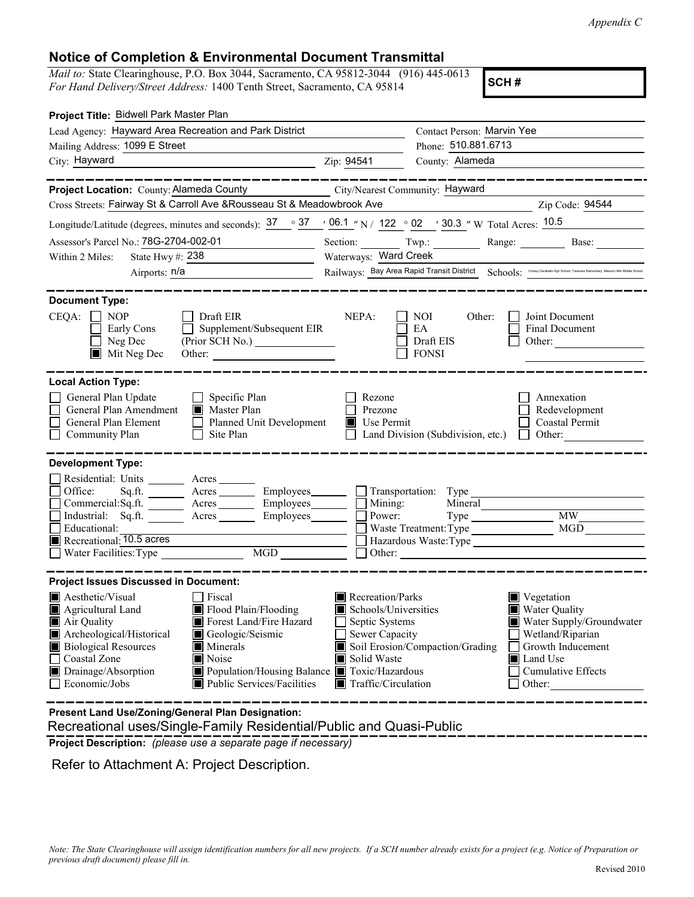Appendix C

## Notice of Completion & Environmental Document Transmittal

Mail to: State Clearinghouse, P.O. Box 3044, Sacramento, CA 95812-3044 (916) 445-0613 For Hand Delivery/Street Address: 1400 Tenth Street, Sacramento, CA 95814

SCH #

| Project Title: Bidwell Park Master Plan                                                                                                                                                                                                                                                                                                                          |                                                                                                                                   |                                                  |                                                                                                                                                                    |  |
|------------------------------------------------------------------------------------------------------------------------------------------------------------------------------------------------------------------------------------------------------------------------------------------------------------------------------------------------------------------|-----------------------------------------------------------------------------------------------------------------------------------|--------------------------------------------------|--------------------------------------------------------------------------------------------------------------------------------------------------------------------|--|
| Lead Agency: Hayward Area Recreation and Park District                                                                                                                                                                                                                                                                                                           |                                                                                                                                   | Contact Person: Marvin Yee                       |                                                                                                                                                                    |  |
| Mailing Address: 1099 E Street                                                                                                                                                                                                                                                                                                                                   |                                                                                                                                   | Phone: 510.881.6713                              |                                                                                                                                                                    |  |
| City: Hayward<br><u> 1989 - Johann Stoff, Amerikaansk politiker (</u>                                                                                                                                                                                                                                                                                            | Zip: 94541                                                                                                                        | County: Alameda                                  |                                                                                                                                                                    |  |
| _________                                                                                                                                                                                                                                                                                                                                                        |                                                                                                                                   |                                                  | ______________                                                                                                                                                     |  |
| Project Location: County: Alameda County City/Nearest Community: Hayward                                                                                                                                                                                                                                                                                         |                                                                                                                                   |                                                  |                                                                                                                                                                    |  |
| Cross Streets: Fairway St & Carroll Ave & Rousseau St & Meadowbrook Ave                                                                                                                                                                                                                                                                                          |                                                                                                                                   |                                                  | Zip Code: 94544                                                                                                                                                    |  |
| Longitude/Latitude (degrees, minutes and seconds): $\frac{37}{12}$ $\frac{37}{12}$ $\frac{106.1}{12}$ N / 122 $\degree$ 02 $\degree$ 30.3 " W Total Acres: $\frac{10.5}{12.5}$                                                                                                                                                                                   |                                                                                                                                   |                                                  |                                                                                                                                                                    |  |
| Assessor's Parcel No.: 78G-2704-002-01                                                                                                                                                                                                                                                                                                                           |                                                                                                                                   |                                                  | Section: Twp.: Range: Base:                                                                                                                                        |  |
| State Hwy #: $238$<br>Within 2 Miles:                                                                                                                                                                                                                                                                                                                            | Waterways: Ward Creek                                                                                                             |                                                  |                                                                                                                                                                    |  |
| Airports: n/a                                                                                                                                                                                                                                                                                                                                                    | Railways: Bay Area Rapid Transit District Schools: Samsan Age School Treview Elementary, Mission Hills Middle School              |                                                  |                                                                                                                                                                    |  |
|                                                                                                                                                                                                                                                                                                                                                                  |                                                                                                                                   |                                                  |                                                                                                                                                                    |  |
| <b>Document Type:</b><br>$CEQA: \Box NP$<br>$\Box$ Draft EIR<br>Early Cons<br>$\Box$ Supplement/Subsequent EIR<br>Neg Dec<br>$\blacksquare$ Mit Neg Dec<br>Other:                                                                                                                                                                                                | NEPA:                                                                                                                             | NOI<br>Other:<br>EA<br>Draft EIS<br><b>FONSI</b> | Joint Document<br>Final Document<br>Other:                                                                                                                         |  |
| <b>Local Action Type:</b><br>General Plan Update<br>$\Box$ Specific Plan<br>General Plan Amendment<br>Master Plan<br>General Plan Element<br>$\Box$ Planned Unit Development<br>$\Box$ Community Plan<br>$\Box$ Site Plan                                                                                                                                        | Rezone<br>Prezone<br>Use Permit                                                                                                   |                                                  | Annexation<br>Redevelopment<br>Coastal Permit<br>Land Division (Subdivision, etc.) $\Box$ Other:                                                                   |  |
| <b>Development Type:</b>                                                                                                                                                                                                                                                                                                                                         |                                                                                                                                   |                                                  |                                                                                                                                                                    |  |
| Residential: Units ________ Acres ______<br>Office:<br>Sq.ft. ________ Acres _________ Employees _______ __ Transportation: Type<br>Commercial:Sq.ft. ________ Acres ________ Employees _______ __<br>Industrial: Sq.ft. ________ Acres _________ Employees________<br>Educational:<br>Recreational: 10.5 acres                                                  | Mining:<br>Power:                                                                                                                 | Mineral<br>Waste Treatment: Type                 | <b>MW</b><br>MGD                                                                                                                                                   |  |
| <b>Project Issues Discussed in Document:</b>                                                                                                                                                                                                                                                                                                                     |                                                                                                                                   |                                                  |                                                                                                                                                                    |  |
| Aesthetic/Visual<br>$\Box$ Fiscal<br>Flood Plain/Flooding<br>Agricultural Land<br>Forest Land/Fire Hazard<br>Air Quality<br>Archeological/Historical<br>Geologic/Seismic<br><b>Biological Resources</b><br>Minerals<br>Coastal Zone<br>Noise<br>Population/Housing Balance Toxic/Hazardous<br>Drainage/Absorption<br>Public Services/Facilities<br>Economic/Jobs | Recreation/Parks<br>Schools/Universities<br>Septic Systems<br>Sewer Capacity<br>Solid Waste<br>$\blacksquare$ Traffic/Circulation | Soil Erosion/Compaction/Grading                  | $\blacksquare$ Vegetation<br>Water Quality<br>Water Supply/Groundwater<br>Wetland/Riparian<br>Growth Inducement<br>Land Use<br><b>Cumulative Effects</b><br>Other: |  |
| Present Land Use/Zoning/General Plan Designation:                                                                                                                                                                                                                                                                                                                |                                                                                                                                   |                                                  |                                                                                                                                                                    |  |

Recreational uses/Single-Family Residential/Public and Quasi-Public

Project Description: (please use a separate page if necessary)

Refer to Attachment A: Project Description.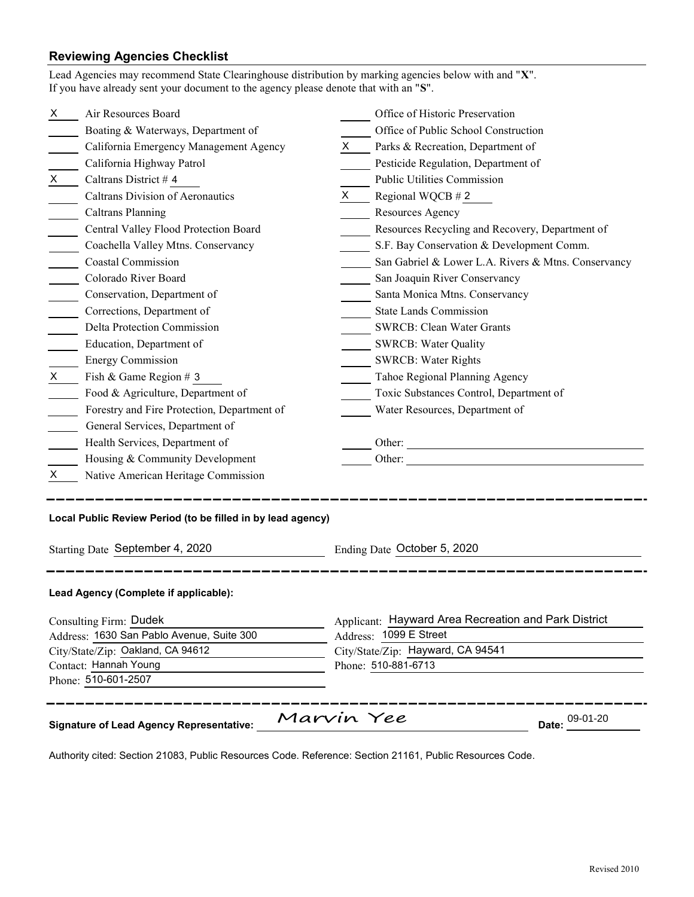## Reviewing Agencies Checklist

|                                                               | Lead Agencies may recommend State Clearinghouse distribution by marking agencies below with and "X".<br>If you have already sent your document to the agency please denote that with an "S". |                                                      |                                                     |                |  |  |
|---------------------------------------------------------------|----------------------------------------------------------------------------------------------------------------------------------------------------------------------------------------------|------------------------------------------------------|-----------------------------------------------------|----------------|--|--|
| X.                                                            | Air Resources Board                                                                                                                                                                          |                                                      | Office of Historic Preservation                     |                |  |  |
|                                                               | Boating & Waterways, Department of                                                                                                                                                           |                                                      | Office of Public School Construction                |                |  |  |
|                                                               | California Emergency Management Agency                                                                                                                                                       | X.                                                   | Parks & Recreation, Department of                   |                |  |  |
|                                                               | California Highway Patrol                                                                                                                                                                    |                                                      | Pesticide Regulation, Department of                 |                |  |  |
| X.                                                            | Caltrans District # 4                                                                                                                                                                        |                                                      | <b>Public Utilities Commission</b>                  |                |  |  |
|                                                               | <b>Caltrans Division of Aeronautics</b>                                                                                                                                                      | X.                                                   | Regional WQCB #2                                    |                |  |  |
|                                                               | <b>Caltrans Planning</b>                                                                                                                                                                     |                                                      | Resources Agency                                    |                |  |  |
|                                                               | Central Valley Flood Protection Board                                                                                                                                                        |                                                      | Resources Recycling and Recovery, Department of     |                |  |  |
|                                                               | Coachella Valley Mtns. Conservancy                                                                                                                                                           |                                                      | S.F. Bay Conservation & Development Comm.           |                |  |  |
|                                                               | <b>Coastal Commission</b>                                                                                                                                                                    |                                                      | San Gabriel & Lower L.A. Rivers & Mtns. Conservancy |                |  |  |
|                                                               | Colorado River Board                                                                                                                                                                         |                                                      | San Joaquin River Conservancy                       |                |  |  |
|                                                               | Conservation, Department of                                                                                                                                                                  |                                                      | Santa Monica Mtns. Conservancy                      |                |  |  |
|                                                               | Corrections, Department of                                                                                                                                                                   |                                                      | <b>State Lands Commission</b>                       |                |  |  |
|                                                               | <b>Delta Protection Commission</b>                                                                                                                                                           |                                                      | <b>SWRCB: Clean Water Grants</b>                    |                |  |  |
|                                                               | Education, Department of                                                                                                                                                                     |                                                      | <b>SWRCB: Water Quality</b>                         |                |  |  |
|                                                               | <b>Energy Commission</b>                                                                                                                                                                     |                                                      | <b>SWRCB: Water Rights</b>                          |                |  |  |
| X.                                                            | Fish & Game Region # 3                                                                                                                                                                       |                                                      | Tahoe Regional Planning Agency                      |                |  |  |
|                                                               | Food & Agriculture, Department of                                                                                                                                                            |                                                      | Toxic Substances Control, Department of             |                |  |  |
|                                                               | Forestry and Fire Protection, Department of                                                                                                                                                  |                                                      | Water Resources, Department of                      |                |  |  |
|                                                               | General Services, Department of                                                                                                                                                              |                                                      |                                                     |                |  |  |
|                                                               | Health Services, Department of                                                                                                                                                               |                                                      |                                                     |                |  |  |
|                                                               | Housing & Community Development                                                                                                                                                              |                                                      | Other:                                              |                |  |  |
| X                                                             | Native American Heritage Commission                                                                                                                                                          |                                                      |                                                     |                |  |  |
|                                                               | Local Public Review Period (to be filled in by lead agency)                                                                                                                                  |                                                      |                                                     |                |  |  |
| Starting Date September 4, 2020                               |                                                                                                                                                                                              |                                                      | Ending Date October 5, 2020                         |                |  |  |
|                                                               | Lead Agency (Complete if applicable):                                                                                                                                                        |                                                      |                                                     |                |  |  |
| Consulting Firm: Dudek                                        |                                                                                                                                                                                              | Applicant: Hayward Area Recreation and Park District |                                                     |                |  |  |
| Address: 1630 San Pablo Avenue, Suite 300                     |                                                                                                                                                                                              |                                                      | Address: 1099 E Street                              |                |  |  |
| City/State/Zip: Oakland, CA 94612                             |                                                                                                                                                                                              |                                                      | City/State/Zip: Hayward, CA 94541                   |                |  |  |
| Contact: Hannah Young                                         |                                                                                                                                                                                              |                                                      | Phone: 510-881-6713                                 |                |  |  |
|                                                               | Phone: 510-601-2507                                                                                                                                                                          |                                                      |                                                     |                |  |  |
| Marvin Yee<br><b>Signature of Lead Agency Representative:</b> |                                                                                                                                                                                              |                                                      |                                                     | Date: 09-01-20 |  |  |
|                                                               |                                                                                                                                                                                              |                                                      |                                                     |                |  |  |

Authority cited: Section 21083, Public Resources Code. Reference: Section 21161, Public Resources Code.